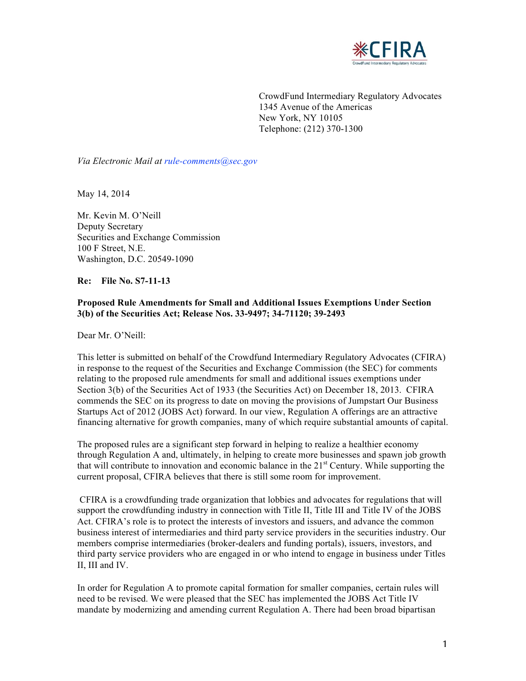

 CrowdFund Intermediary Regulatory Advocates 1345 Avenue of the Americas Telephone: (212) 370-1300 New York, NY 10105

 *Via Electronic Mail at rule-comments@sec.gov* 

May 14, 2014

 Mr. Kevin M. O'Neill Securities and Exchange Commission 100 F Street, N.E. Washington, D.C. 20549-1090 Deputy Secretary

### **Re: File No. S7-11-13**

## **Proposed Rule Amendments for Small and Additional Issues Exemptions Under Section 3(b) of the Securities Act; Release Nos. 33-9497; 34-71120; 39-2493**

Dear Mr. O'Neill:

 This letter is submitted on behalf of the Crowdfund Intermediary Regulatory Advocates (CFIRA) in response to the request of the Securities and Exchange Commission (the SEC) for comments relating to the proposed rule amendments for small and additional issues exemptions under Section 3(b) of the Securities Act of 1933 (the Securities Act) on December 18, 2013. CFIRA commends the SEC on its progress to date on moving the provisions of Jumpstart Our Business Startups Act of 2012 (JOBS Act) forward. In our view, Regulation A offerings are an attractive financing alternative for growth companies, many of which require substantial amounts of capital.

 The proposed rules are a significant step forward in helping to realize a healthier economy through Regulation A and, ultimately, in helping to create more businesses and spawn job growth that will contribute to innovation and economic balance in the 21<sup>st</sup> Century. While supporting the current proposal, CFIRA believes that there is still some room for improvement.

 CFIRA is a crowdfunding trade organization that lobbies and advocates for regulations that will support the crowdfunding industry in connection with Title II, Title III and Title IV of the JOBS business interest of intermediaries and third party service providers in the securities industry. Our members comprise intermediaries (broker-dealers and funding portals), issuers, investors, and II, III and IV. Act. CFIRA's role is to protect the interests of investors and issuers, and advance the common third party service providers who are engaged in or who intend to engage in business under Titles

 In order for Regulation A to promote capital formation for smaller companies, certain rules will need to be revised. We were pleased that the SEC has implemented the JOBS Act Title IV mandate by modernizing and amending current Regulation A. There had been broad bipartisan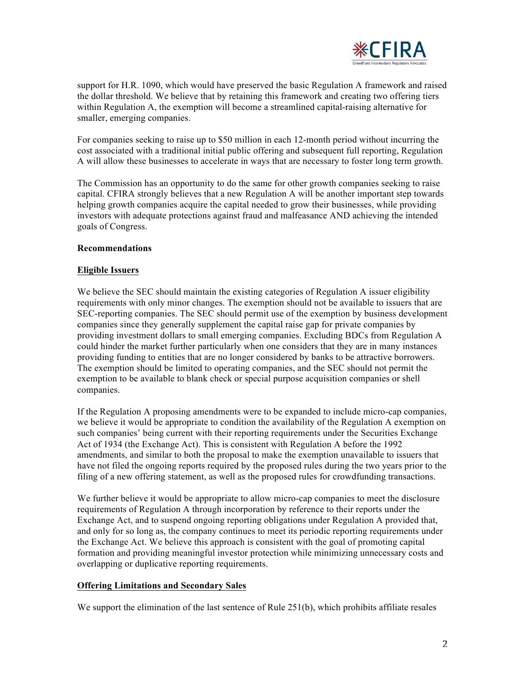

 support for H.R. 1090, which would have preserved the basic Regulation A framework and raised within Regulation A, the exemption will become a streamlined capital-raising alternative for smaller, emerging companies. the dollar threshold. We believe that by retaining this framework and creating two offering tiers

 For companies seeking to raise up to \$50 million in each 12-month period without incurring the cost associated with a traditional initial public offering and subsequent full reporting, Regulation A will allow these businesses to accelerate in ways that are necessary to foster long term growth.

 The Commission has an opportunity to do the same for other growth companies seeking to raise capital. CFIRA strongly believes that a new Regulation A will be another important step towards helping growth companies acquire the capital needed to grow their businesses, while providing investors with adequate protections against fraud and malfeasance AND achieving the intended goals of Congress.

### **Recommendations**

## **Eligible Issuers**

We believe the SEC should maintain the existing categories of Regulation A issuer eligibility requirements with only minor changes. The exemption should not be available to issuers that are SEC-reporting companies. The SEC should permit use of the exemption by business development companies since they generally supplement the capital raise gap for private companies by providing investment dollars to small emerging companies. Excluding BDCs from Regulation A could hinder the market further particularly when one considers that they are in many instances providing funding to entities that are no longer considered by banks to be attractive borrowers. The exemption should be limited to operating companies, and the SEC should not permit the exemption to be available to blank check or special purpose acquisition companies or shell companies.

 If the Regulation A proposing amendments were to be expanded to include micro-cap companies, we believe it would be appropriate to condition the availability of the Regulation A exemption on such companies' being current with their reporting requirements under the Securities Exchange Act of 1934 (the Exchange Act). This is consistent with Regulation A before the 1992 amendments, and similar to both the proposal to make the exemption unavailable to issuers that have not filed the ongoing reports required by the proposed rules during the two years prior to the filing of a new offering statement, as well as the proposed rules for crowdfunding transactions.

 We further believe it would be appropriate to allow micro-cap companies to meet the disclosure requirements of Regulation A through incorporation by reference to their reports under the Exchange Act, and to suspend ongoing reporting obligations under Regulation A provided that, and only for so long as, the company continues to meet its periodic reporting requirements under formation and providing meaningful investor protection while minimizing unnecessary costs and overlapping or duplicative reporting requirements. the Exchange Act. We believe this approach is consistent with the goal of promoting capital

#### **Offering Limitations and Secondary Sales**

We support the elimination of the last sentence of Rule 251(b), which prohibits affiliate resales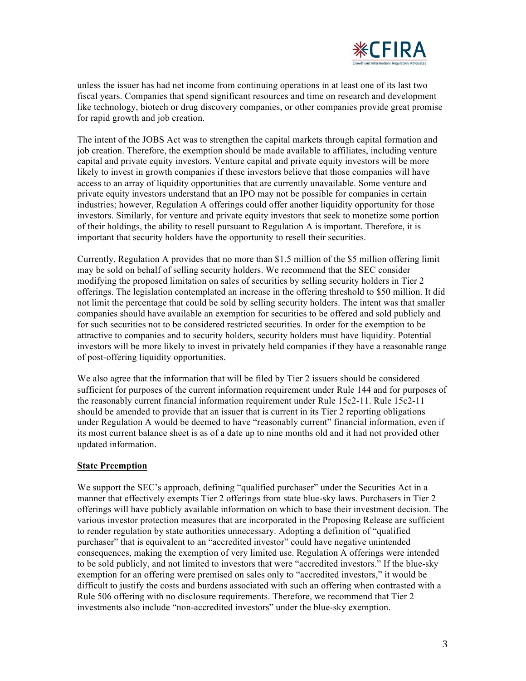

 unless the issuer has had net income from continuing operations in at least one of its last two fiscal years. Companies that spend significant resources and time on research and development like technology, biotech or drug discovery companies, or other companies provide great promise for rapid growth and job creation.

 The intent of the JOBS Act was to strengthen the capital markets through capital formation and job creation. Therefore, the exemption should be made available to affiliates, including venture capital and private equity investors. Venture capital and private equity investors will be more likely to invest in growth companies if these investors believe that those companies will have access to an array of liquidity opportunities that are currently unavailable. Some venture and private equity investors understand that an IPO may not be possible for companies in certain industries; however, Regulation A offerings could offer another liquidity opportunity for those investors. Similarly, for venture and private equity investors that seek to monetize some portion of their holdings, the ability to resell pursuant to Regulation A is important. Therefore, it is important that security holders have the opportunity to resell their securities.

 Currently, Regulation A provides that no more than \$1.5 million of the \$5 million offering limit may be sold on behalf of selling security holders. We recommend that the SEC consider modifying the proposed limitation on sales of securities by selling security holders in Tier 2 offerings. The legislation contemplated an increase in the offering threshold to \$50 million. It did not limit the percentage that could be sold by selling security holders. The intent was that smaller companies should have available an exemption for securities to be offered and sold publicly and for such securities not to be considered restricted securities. In order for the exemption to be attractive to companies and to security holders, security holders must have liquidity. Potential investors will be more likely to invest in privately held companies if they have a reasonable range of post-offering liquidity opportunities.

 We also agree that the information that will be filed by Tier 2 issuers should be considered sufficient for purposes of the current information requirement under Rule 144 and for purposes of the reasonably current financial information requirement under Rule 15c2-11. Rule 15c2-11 should be amended to provide that an issuer that is current in its Tier 2 reporting obligations under Regulation A would be deemed to have "reasonably current" financial information, even if its most current balance sheet is as of a date up to nine months old and it had not provided other updated information.

### **State Preemption**

 We support the SEC's approach, defining "qualified purchaser" under the Securities Act in a manner that effectively exempts Tier 2 offerings from state blue-sky laws. Purchasers in Tier 2 offerings will have publicly available information on which to base their investment decision. The various investor protection measures that are incorporated in the Proposing Release are sufficient purchaser" that is equivalent to an "accredited investor" could have negative unintended exemption for an offering were premised on sales only to "accredited investors," it would be difficult to justify the costs and burdens associated with such an offering when contrasted with a Rule 506 offering with no disclosure requirements. Therefore, we recommend that Tier 2 investments also include "non-accredited investors" under the blue-sky exemption. to render regulation by state authorities unnecessary. Adopting a definition of "qualified consequences, making the exemption of very limited use. Regulation A offerings were intended to be sold publicly, and not limited to investors that were "accredited investors." If the blue-sky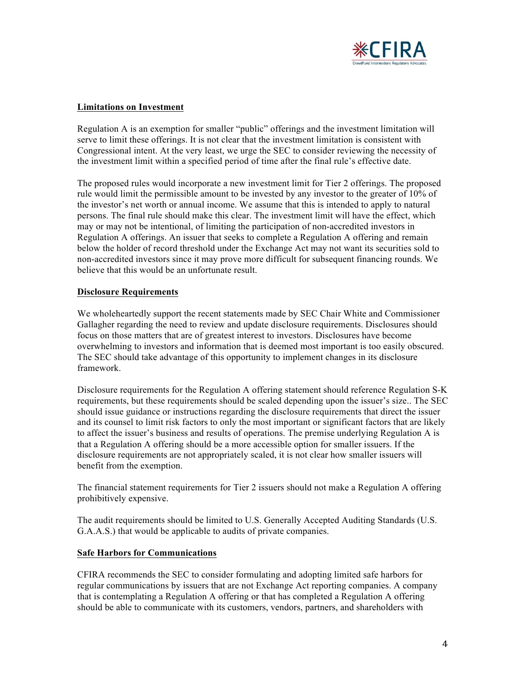

### **Limitations on Investment**

 Regulation A is an exemption for smaller "public" offerings and the investment limitation will serve to limit these offerings. It is not clear that the investment limitation is consistent with Congressional intent. At the very least, we urge the SEC to consider reviewing the necessity of the investment limit within a specified period of time after the final rule's effective date.

 The proposed rules would incorporate a new investment limit for Tier 2 offerings. The proposed rule would limit the permissible amount to be invested by any investor to the greater of 10% of the investor's net worth or annual income. We assume that this is intended to apply to natural persons. The final rule should make this clear. The investment limit will have the effect, which may or may not be intentional, of limiting the participation of non-accredited investors in Regulation A offerings. An issuer that seeks to complete a Regulation A offering and remain below the holder of record threshold under the Exchange Act may not want its securities sold to non-accredited investors since it may prove more difficult for subsequent financing rounds. We believe that this would be an unfortunate result.

## **Disclosure Requirements**

 We wholeheartedly support the recent statements made by SEC Chair White and Commissioner Gallagher regarding the need to review and update disclosure requirements. Disclosures should focus on those matters that are of greatest interest to investors. Disclosures have become overwhelming to investors and information that is deemed most important is too easily obscured. The SEC should take advantage of this opportunity to implement changes in its disclosure framework.

 Disclosure requirements for the Regulation A offering statement should reference Regulation S-K requirements, but these requirements should be scaled depending upon the issuer's size.. The SEC should issue guidance or instructions regarding the disclosure requirements that direct the issuer and its counsel to limit risk factors to only the most important or significant factors that are likely to affect the issuer's business and results of operations. The premise underlying Regulation A is disclosure requirements are not appropriately scaled, it is not clear how smaller issuers will benefit from the exemption. that a Regulation A offering should be a more accessible option for smaller issuers. If the

The financial statement requirements for Tier 2 issuers should not make a Regulation A offering prohibitively expensive.

 The audit requirements should be limited to U.S. Generally Accepted Auditing Standards (U.S. G.A.A.S.) that would be applicable to audits of private companies.

## **Safe Harbors for Communications**

 CFIRA recommends the SEC to consider formulating and adopting limited safe harbors for regular communications by issuers that are not Exchange Act reporting companies. A company should be able to communicate with its customers, vendors, partners, and shareholders with that is contemplating a Regulation A offering or that has completed a Regulation A offering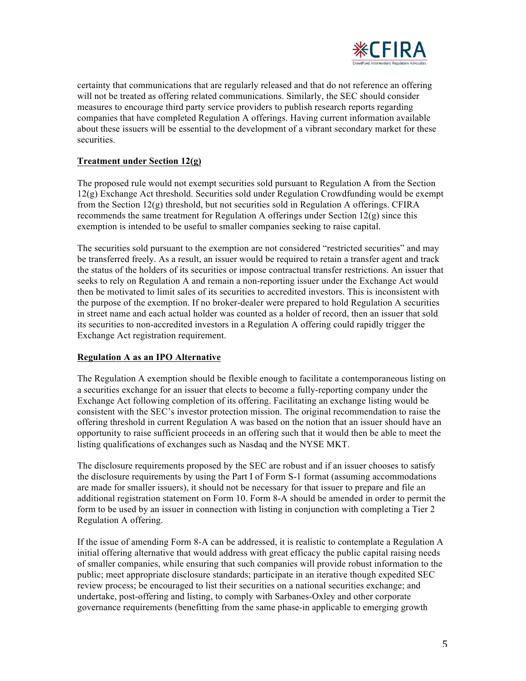

 certainty that communications that are regularly released and that do not reference an offering will not be treated as offering related communications. Similarly, the SEC should consider measures to encourage third party service providers to publish research reports regarding companies that have completed Regulation A offerings. Having current information available about these issuers will be essential to the development of a vibrant secondary market for these securities.

# **Treatment under Section 12(g)**

 The proposed rule would not exempt securities sold pursuant to Regulation A from the Section 12(g) Exchange Act threshold. Securities sold under Regulation Crowdfunding would be exempt from the Section 12(g) threshold, but not securities sold in Regulation A offerings. CFIRA recommends the same treatment for Regulation A offerings under Section 12(g) since this exemption is intended to be useful to smaller companies seeking to raise capital.

 The securities sold pursuant to the exemption are not considered "restricted securities" and may be transferred freely. As a result, an issuer would be required to retain a transfer agent and track the status of the holders of its securities or impose contractual transfer restrictions. An issuer that seeks to rely on Regulation A and remain a non-reporting issuer under the Exchange Act would then be motivated to limit sales of its securities to accredited investors. This is inconsistent with the purpose of the exemption. If no broker-dealer were prepared to hold Regulation A securities in street name and each actual holder was counted as a holder of record, then an issuer that sold its securities to non-accredited investors in a Regulation A offering could rapidly trigger the Exchange Act registration requirement.

# **Regulation A as an IPO Alternative**

 The Regulation A exemption should be flexible enough to facilitate a contemporaneous listing on a securities exchange for an issuer that elects to become a fully-reporting company under the Exchange Act following completion of its offering. Facilitating an exchange listing would be consistent with the SEC's investor protection mission. The original recommendation to raise the offering threshold in current Regulation A was based on the notion that an issuer should have an opportunity to raise sufficient proceeds in an offering such that it would then be able to meet the listing qualifications of exchanges such as Nasdaq and the NYSE MKT.

 The disclosure requirements proposed by the SEC are robust and if an issuer chooses to satisfy the disclosure requirements by using the Part I of Form S-1 format (assuming accommodations are made for smaller issuers), it should not be necessary for that issuer to prepare and file an additional registration statement on Form 10. Form 8-A should be amended in order to permit the form to be used by an issuer in connection with listing in conjunction with completing a Tier 2 Regulation A offering.

 If the issue of amending Form 8-A can be addressed, it is realistic to contemplate a Regulation A initial offering alternative that would address with great efficacy the public capital raising needs of smaller companies, while ensuring that such companies will provide robust information to the public; meet appropriate disclosure standards; participate in an iterative though expedited SEC review process; be encouraged to list their securities on a national securities exchange; and undertake, post-offering and listing, to comply with Sarbanes-Oxley and other corporate governance requirements (benefitting from the same phase-in applicable to emerging growth